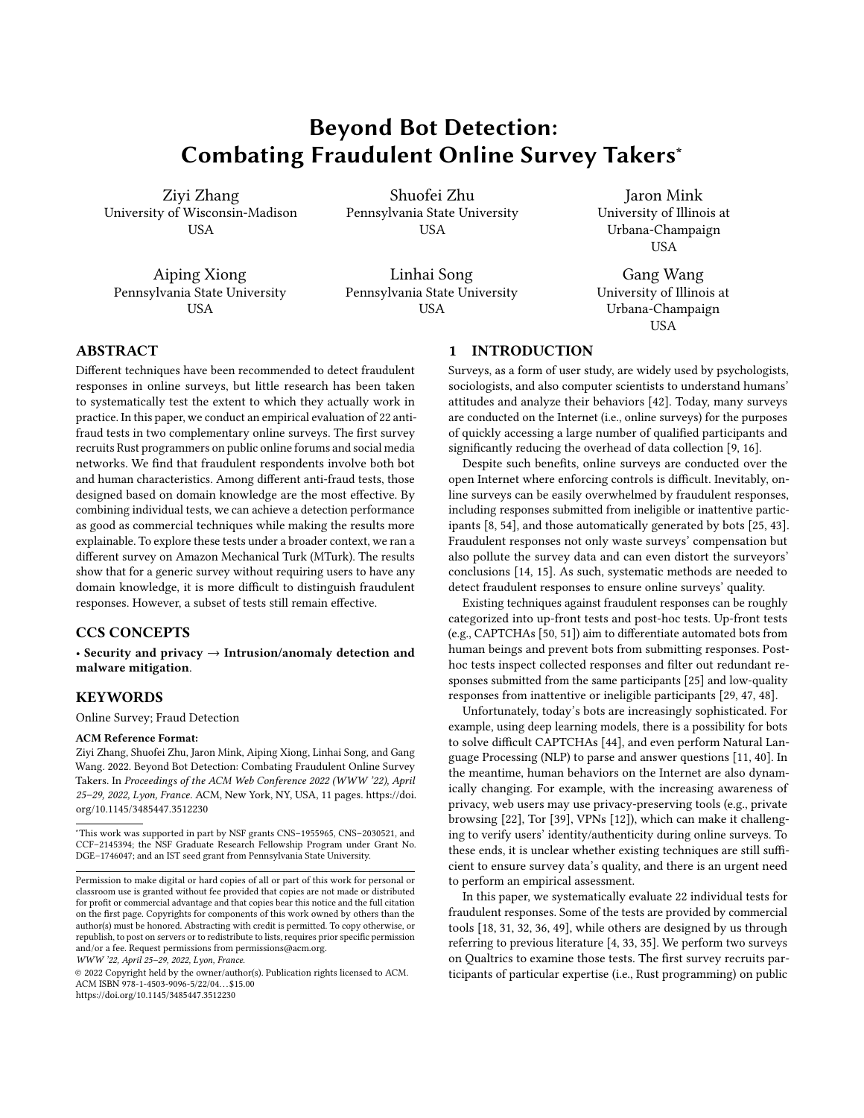# Beyond Bot Detection: Combating Fraudulent Online Survey Takers<sup>∗</sup>

[Ziyi Zhang](https://orcid.org/0000-0002-6963-3725) University of Wisconsin-Madison **USA** 

[Shuofei Zhu](https://orcid.org/0000-0003-3689-7668) Pennsylvania State University USA

[Aiping Xiong](https://orcid.org/0000-0001-7607-0695) Pennsylvania State University USA

[Linhai Song](https://orcid.org/0000-0002-3185-9278) Pennsylvania State University USA

[Jaron Mink](https://orcid.org/0000-0001-9390-3900) University of Illinois at Urbana-Champaign **USA** 

[Gang Wang](https://orcid.org/0000-0002-8910-8979) University of Illinois at Urbana-Champaign USA

# ABSTRACT

Different techniques have been recommended to detect fraudulent responses in online surveys, but little research has been taken to systematically test the extent to which they actually work in practice. In this paper, we conduct an empirical evaluation of 22 antifraud tests in two complementary online surveys. The first survey recruits Rust programmers on public online forums and social media networks. We find that fraudulent respondents involve both bot and human characteristics. Among different anti-fraud tests, those designed based on domain knowledge are the most effective. By combining individual tests, we can achieve a detection performance as good as commercial techniques while making the results more explainable. To explore these tests under a broader context, we ran a different survey on Amazon Mechanical Turk (MTurk). The results show that for a generic survey without requiring users to have any domain knowledge, it is more difficult to distinguish fraudulent responses. However, a subset of tests still remain effective.

#### CCS CONCEPTS

• Security and privacy → Intrusion/anomaly detection and malware mitigation.

# **KEYWORDS**

Online Survey; Fraud Detection

#### ACM Reference Format:

Ziyi Zhang, Shuofei Zhu, Jaron Mink, Aiping Xiong, Linhai Song, and Gang Wang. 2022. Beyond Bot Detection: Combating Fraudulent Online Survey Takers. In Proceedings of the ACM Web Conference 2022 (WWW '22), April 25–29, 2022, Lyon, France. ACM, New York, NY, USA, [11](#page-10-0) pages. [https://doi.](https://doi.org/10.1145/3485447.3512230) [org/10.1145/3485447.3512230](https://doi.org/10.1145/3485447.3512230)

WWW '22, April 25–29, 2022, Lyon, France.

### 1 INTRODUCTION

Surveys, as a form of user study, are widely used by psychologists, sociologists, and also computer scientists to understand humans' attitudes and analyze their behaviors [\[42\]](#page-8-0). Today, many surveys are conducted on the Internet (i.e., online surveys) for the purposes of quickly accessing a large number of qualified participants and significantly reducing the overhead of data collection [\[9,](#page-8-1) [16\]](#page-8-2).

Despite such benefits, online surveys are conducted over the open Internet where enforcing controls is difficult. Inevitably, online surveys can be easily overwhelmed by fraudulent responses, including responses submitted from ineligible or inattentive participants [\[8,](#page-8-3) [54\]](#page-9-0), and those automatically generated by bots [\[25,](#page-8-4) [43\]](#page-8-5). Fraudulent responses not only waste surveys' compensation but also pollute the survey data and can even distort the surveyors' conclusions [\[14,](#page-8-6) [15\]](#page-8-7). As such, systematic methods are needed to detect fraudulent responses to ensure online surveys' quality.

Existing techniques against fraudulent responses can be roughly categorized into up-front tests and post-hoc tests. Up-front tests (e.g., CAPTCHAs [\[50,](#page-9-1) [51\]](#page-9-2)) aim to differentiate automated bots from human beings and prevent bots from submitting responses. Posthoc tests inspect collected responses and filter out redundant responses submitted from the same participants [\[25\]](#page-8-4) and low-quality responses from inattentive or ineligible participants [\[29,](#page-8-8) [47,](#page-8-9) [48\]](#page-9-3).

Unfortunately, today's bots are increasingly sophisticated. For example, using deep learning models, there is a possibility for bots to solve difficult CAPTCHAs [\[44\]](#page-8-10), and even perform Natural Language Processing (NLP) to parse and answer questions [\[11,](#page-8-11) [40\]](#page-8-12). In the meantime, human behaviors on the Internet are also dynamically changing. For example, with the increasing awareness of privacy, web users may use privacy-preserving tools (e.g., private browsing [\[22\]](#page-8-13), Tor [\[39\]](#page-8-14), VPNs [\[12\]](#page-8-15)), which can make it challenging to verify users' identity/authenticity during online surveys. To these ends, it is unclear whether existing techniques are still sufficient to ensure survey data's quality, and there is an urgent need to perform an empirical assessment.

In this paper, we systematically evaluate 22 individual tests for fraudulent responses. Some of the tests are provided by commercial tools [\[18,](#page-8-16) [31,](#page-8-17) [32,](#page-8-18) [36,](#page-8-19) [49\]](#page-9-4), while others are designed by us through referring to previous literature [\[4,](#page-8-20) [33,](#page-8-21) [35\]](#page-8-22). We perform two surveys on Qualtrics to examine those tests. The first survey recruits participants of particular expertise (i.e., Rust programming) on public

<sup>∗</sup>This work was supported in part by NSF grants CNS–1955965, CNS–2030521, and CCF–2145394; the NSF Graduate Research Fellowship Program under Grant No. DGE–1746047; and an IST seed grant from Pennsylvania State University.

Permission to make digital or hard copies of all or part of this work for personal or classroom use is granted without fee provided that copies are not made or distributed for profit or commercial advantage and that copies bear this notice and the full citation on the first page. Copyrights for components of this work owned by others than the author(s) must be honored. Abstracting with credit is permitted. To copy otherwise, or republish, to post on servers or to redistribute to lists, requires prior specific permission and/or a fee. Request permissions from permissions@acm.org.

<sup>©</sup> 2022 Copyright held by the owner/author(s). Publication rights licensed to ACM. ACM ISBN 978-1-4503-9096-5/22/04. . . \$15.00 <https://doi.org/10.1145/3485447.3512230>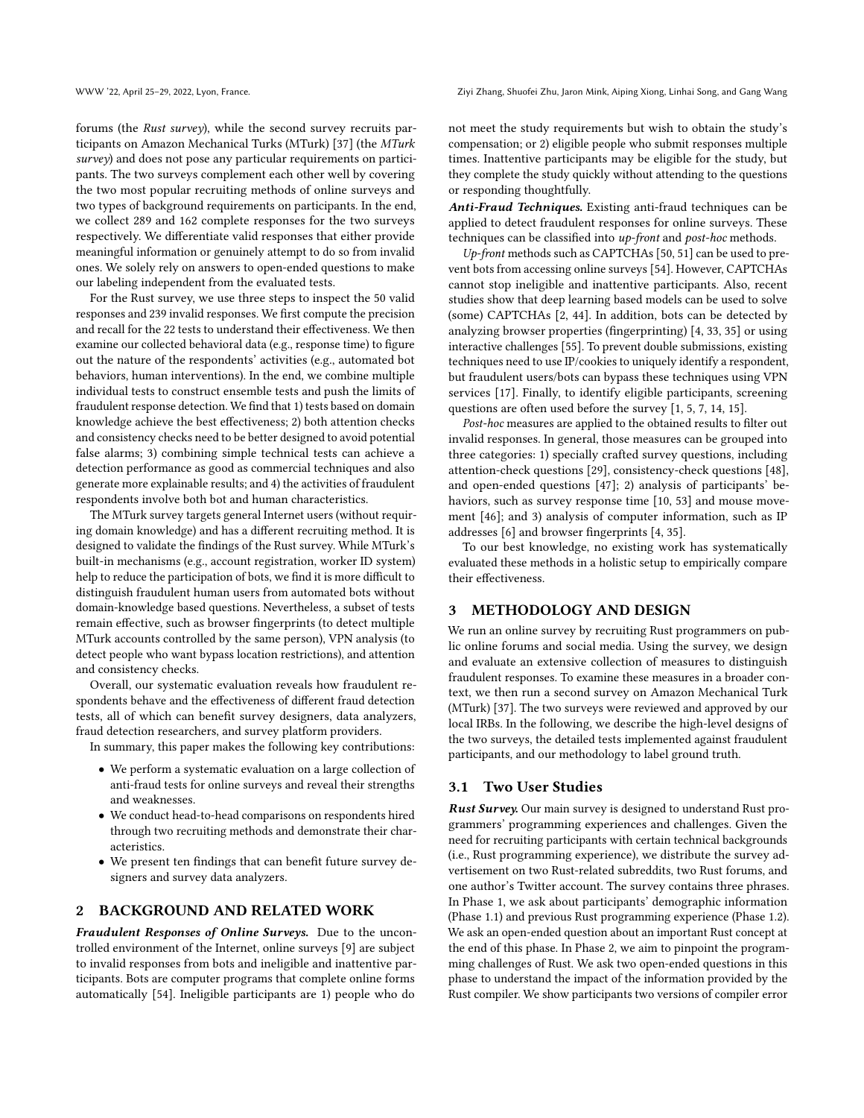WWW '22, April 25–29, 2022, Lyon, France. Ziyi Zhang, Shuofei Zhu, Jaron Mink, Aiping Xiong, Linhai Song, and Gang Wang

forums (the Rust survey), while the second survey recruits participants on Amazon Mechanical Turks (MTurk) [\[37\]](#page-8-23) (the MTurk survey) and does not pose any particular requirements on participants. The two surveys complement each other well by covering the two most popular recruiting methods of online surveys and two types of background requirements on participants. In the end, we collect 289 and 162 complete responses for the two surveys respectively. We differentiate valid responses that either provide meaningful information or genuinely attempt to do so from invalid ones. We solely rely on answers to open-ended questions to make our labeling independent from the evaluated tests.

For the Rust survey, we use three steps to inspect the 50 valid responses and 239 invalid responses. We first compute the precision and recall for the 22 tests to understand their effectiveness. We then examine our collected behavioral data (e.g., response time) to figure out the nature of the respondents' activities (e.g., automated bot behaviors, human interventions). In the end, we combine multiple individual tests to construct ensemble tests and push the limits of fraudulent response detection. We find that 1) tests based on domain knowledge achieve the best effectiveness; 2) both attention checks and consistency checks need to be better designed to avoid potential false alarms; 3) combining simple technical tests can achieve a detection performance as good as commercial techniques and also generate more explainable results; and 4) the activities of fraudulent respondents involve both bot and human characteristics.

The MTurk survey targets general Internet users (without requiring domain knowledge) and has a different recruiting method. It is designed to validate the findings of the Rust survey. While MTurk's built-in mechanisms (e.g., account registration, worker ID system) help to reduce the participation of bots, we find it is more difficult to distinguish fraudulent human users from automated bots without domain-knowledge based questions. Nevertheless, a subset of tests remain effective, such as browser fingerprints (to detect multiple MTurk accounts controlled by the same person), VPN analysis (to detect people who want bypass location restrictions), and attention and consistency checks.

Overall, our systematic evaluation reveals how fraudulent respondents behave and the effectiveness of different fraud detection tests, all of which can benefit survey designers, data analyzers, fraud detection researchers, and survey platform providers.

In summary, this paper makes the following key contributions:

- We perform a systematic evaluation on a large collection of anti-fraud tests for online surveys and reveal their strengths and weaknesses.
- We conduct head-to-head comparisons on respondents hired through two recruiting methods and demonstrate their characteristics.
- We present ten findings that can benefit future survey designers and survey data analyzers.

# 2 BACKGROUND AND RELATED WORK

Fraudulent Responses of Online Surveys. Due to the uncontrolled environment of the Internet, online surveys [\[9\]](#page-8-1) are subject to invalid responses from bots and ineligible and inattentive participants. Bots are computer programs that complete online forms automatically [\[54\]](#page-9-0). Ineligible participants are 1) people who do

not meet the study requirements but wish to obtain the study's compensation; or 2) eligible people who submit responses multiple times. Inattentive participants may be eligible for the study, but they complete the study quickly without attending to the questions or responding thoughtfully.

Anti-Fraud Techniques. Existing anti-fraud techniques can be applied to detect fraudulent responses for online surveys. These techniques can be classified into up-front and post-hoc methods.

Up-front methods such as CAPTCHAs [\[50,](#page-9-1) [51\]](#page-9-2) can be used to prevent bots from accessing online surveys [\[54\]](#page-9-0). However, CAPTCHAs cannot stop ineligible and inattentive participants. Also, recent studies show that deep learning based models can be used to solve (some) CAPTCHAs [\[2,](#page-8-24) [44\]](#page-8-10). In addition, bots can be detected by analyzing browser properties (fingerprinting) [\[4,](#page-8-20) [33,](#page-8-21) [35\]](#page-8-22) or using interactive challenges [\[55\]](#page-9-5). To prevent double submissions, existing techniques need to use IP/cookies to uniquely identify a respondent, but fraudulent users/bots can bypass these techniques using VPN services [\[17\]](#page-8-25). Finally, to identify eligible participants, screening questions are often used before the survey [\[1,](#page-8-26) [5,](#page-8-27) [7,](#page-8-28) [14,](#page-8-6) [15\]](#page-8-7).

Post-hoc measures are applied to the obtained results to filter out invalid responses. In general, those measures can be grouped into three categories: 1) specially crafted survey questions, including attention-check questions [\[29\]](#page-8-8), consistency-check questions [\[48\]](#page-9-3), and open-ended questions [\[47\]](#page-8-9); 2) analysis of participants' behaviors, such as survey response time [\[10,](#page-8-29) [53\]](#page-9-6) and mouse movement [\[46\]](#page-8-30); and 3) analysis of computer information, such as IP addresses [\[6\]](#page-8-31) and browser fingerprints [\[4,](#page-8-20) [35\]](#page-8-22).

To our best knowledge, no existing work has systematically evaluated these methods in a holistic setup to empirically compare their effectiveness.

# 3 METHODOLOGY AND DESIGN

We run an online survey by recruiting Rust programmers on public online forums and social media. Using the survey, we design and evaluate an extensive collection of measures to distinguish fraudulent responses. To examine these measures in a broader context, we then run a second survey on Amazon Mechanical Turk (MTurk) [\[37\]](#page-8-23). The two surveys were reviewed and approved by our local IRBs. In the following, we describe the high-level designs of the two surveys, the detailed tests implemented against fraudulent participants, and our methodology to label ground truth.

#### 3.1 Two User Studies

Rust Survey. Our main survey is designed to understand Rust programmers' programming experiences and challenges. Given the need for recruiting participants with certain technical backgrounds (i.e., Rust programming experience), we distribute the survey advertisement on two Rust-related subreddits, two Rust forums, and one author's Twitter account. The survey contains three phrases. In Phase 1, we ask about participants' demographic information (Phase 1.1) and previous Rust programming experience (Phase 1.2). We ask an open-ended question about an important Rust concept at the end of this phase. In Phase 2, we aim to pinpoint the programming challenges of Rust. We ask two open-ended questions in this phase to understand the impact of the information provided by the Rust compiler. We show participants two versions of compiler error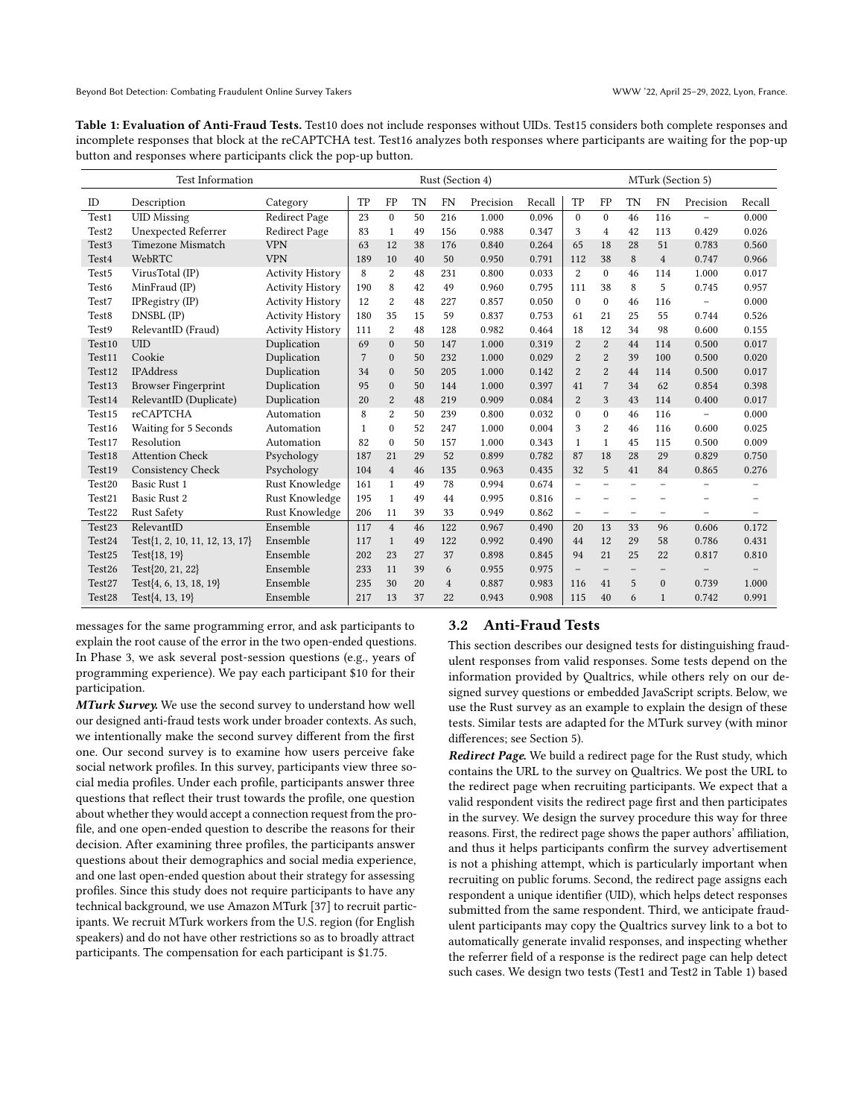<span id="page-2-0"></span>Table 1: Evaluation of Anti-Fraud Tests. Test10 does not include responses without UIDs. Test15 considers both complete responses and incomplete responses that block at the reCAPTCHA test. Test16 analyzes both responses where participants are waiting for the pop-up button and responses where participants click the pop-up button.

| <b>Test Information</b> |                                |                         | Rust (Section 4) |                  |           |                | MTurk (Section 5) |        |                          |                          |                          |                          |                          |                          |
|-------------------------|--------------------------------|-------------------------|------------------|------------------|-----------|----------------|-------------------|--------|--------------------------|--------------------------|--------------------------|--------------------------|--------------------------|--------------------------|
| ID                      | Description                    | Category                | TP               | FP               | <b>TN</b> | <b>FN</b>      | Precision         | Recall | TP                       | FP                       | TN                       | <b>FN</b>                | Precision                | Recall                   |
| Test1                   | <b>UID Missing</b>             | <b>Redirect Page</b>    | 23               | $\mathbf{0}$     | 50        | 216            | 1.000             | 0.096  | $\mathbf{0}$             | $\mathbf{0}$             | 46                       | 116                      | $\overline{\phantom{0}}$ | 0.000                    |
| Test <sub>2</sub>       | <b>Unexpected Referrer</b>     | Redirect Page           | 83               | $\mathbf{1}$     | 49        | 156            | 0.988             | 0.347  | 3                        | $\overline{4}$           | 42                       | 113                      | 0.429                    | 0.026                    |
| Test <sub>3</sub>       | Timezone Mismatch              | <b>VPN</b>              | 63               | 12               | 38        | 176            | 0.840             | 0.264  | 65                       | 18                       | 28                       | 51                       | 0.783                    | 0.560                    |
| Test <sub>4</sub>       | WebRTC                         | <b>VPN</b>              | 189              | 10               | 40        | 50             | 0.950             | 0.791  | 112                      | 38                       | 8                        | $\overline{4}$           | 0.747                    | 0.966                    |
| Test <sub>5</sub>       | VirusTotal (IP)                | <b>Activity History</b> | 8                | $\overline{2}$   | 48        | 231            | 0.800             | 0.033  | $\overline{2}$           | $\mathbf{0}$             | 46                       | 114                      | 1.000                    | 0.017                    |
| Test <sub>6</sub>       | MinFraud (IP)                  | <b>Activity History</b> | 190              | 8                | 42        | 49             | 0.960             | 0.795  | 111                      | 38                       | 8                        | 5                        | 0.745                    | 0.957                    |
| Test7                   | IPRegistry $(IP)$              | <b>Activity History</b> | 12               | $\overline{c}$   | 48        | 227            | 0.857             | 0.050  | $\Omega$                 | $\Omega$                 | 46                       | 116                      | $\overline{\phantom{0}}$ | 0.000                    |
| Test <sub>8</sub>       | DNSBL (IP)                     | <b>Activity History</b> | 180              | 35               | 15        | 59             | 0.837             | 0.753  | 61                       | 21                       | 25                       | 55                       | 0.744                    | 0.526                    |
| Test9                   | RelevantID (Fraud)             | <b>Activity History</b> | 111              | $\boldsymbol{2}$ | 48        | 128            | 0.982             | 0.464  | 18                       | 12                       | 34                       | 98                       | 0.600                    | 0.155                    |
| Test <sub>10</sub>      | <b>UID</b>                     | Duplication             | 69               | $\mathbf{0}$     | 50        | 147            | 1.000             | 0.319  | 2                        | 2                        | 44                       | 114                      | 0.500                    | 0.017                    |
| Test11                  | Cookie                         | Duplication             | 7                | $\mathbf{0}$     | 50        | 232            | 1.000             | 0.029  | $\overline{2}$           | $\overline{2}$           | 39                       | 100                      | 0.500                    | 0.020                    |
| Test <sub>12</sub>      | <b>IPAddress</b>               | Duplication             | 34               | $\Omega$         | 50        | 205            | 1.000             | 0.142  | 2                        | $\overline{c}$           | 44                       | 114                      | 0.500                    | 0.017                    |
| Test <sub>13</sub>      | <b>Browser Fingerprint</b>     | Duplication             | 95               | $\Omega$         | 50        | 144            | 1.000             | 0.397  | 41                       | $\overline{7}$           | 34                       | 62                       | 0.854                    | 0.398                    |
| Test14                  | RelevantID (Duplicate)         | Duplication             | 20               | $\overline{2}$   | 48        | 219            | 0.909             | 0.084  | $\overline{2}$           | 3                        | 43                       | 114                      | 0.400                    | 0.017                    |
| Test15                  | <b>reCAPTCHA</b>               | Automation              | 8                | $\overline{2}$   | 50        | 239            | 0.800             | 0.032  | $\theta$                 | $\mathbf{0}$             | 46                       | 116                      | $\qquad \qquad -$        | 0.000                    |
| Test16                  | Waiting for 5 Seconds          | Automation              | 1                | $\theta$         | 52        | 247            | 1.000             | 0.004  | 3                        | $\overline{c}$           | 46                       | 116                      | 0.600                    | 0.025                    |
| Test17                  | Resolution                     | Automation              | 82               | $\mathbf{0}$     | 50        | 157            | 1.000             | 0.343  | $\mathbf{1}$             | $\mathbf{1}$             | 45                       | 115                      | 0.500                    | 0.009                    |
| Test <sub>18</sub>      | <b>Attention Check</b>         | Psychology              | 187              | 21               | 29        | 52             | 0.899             | 0.782  | 87                       | 18                       | 28                       | 29                       | 0.829                    | 0.750                    |
| Test19                  | Consistency Check              | Psychology              | 104              | $\overline{4}$   | 46        | 135            | 0.963             | 0.435  | 32                       | 5                        | 41                       | 84                       | 0.865                    | 0.276                    |
| Test20                  | Basic Rust 1                   | Rust Knowledge          | 161              | $\mathbf{1}$     | 49        | 78             | 0.994             | 0.674  | $\overline{a}$           | $\overline{\phantom{0}}$ |                          |                          | $\overline{\phantom{0}}$ | -                        |
| Test21                  | <b>Basic Rust 2</b>            | Rust Knowledge          | 195              | $\mathbf{1}$     | 49        | 44             | 0.995             | 0.816  | $\overline{a}$           |                          |                          |                          |                          |                          |
| Test <sub>22</sub>      | <b>Rust Safety</b>             | Rust Knowledge          | 206              | 11               | 39        | 33             | 0.949             | 0.862  | $\overline{\phantom{0}}$ | $\overline{\phantom{0}}$ | $\overline{\phantom{0}}$ | $\overline{\phantom{0}}$ | $\overline{\phantom{0}}$ | $\overline{\phantom{0}}$ |
| Test23                  | RelevantID                     | Ensemble                | 117              | $\overline{4}$   | 46        | 122            | 0.967             | 0.490  | 20                       | 13                       | 33                       | 96                       | 0.606                    | 0.172                    |
| Test24                  | Test{1, 2, 10, 11, 12, 13, 17} | Ensemble                | 117              | $\mathbf{1}$     | 49        | 122            | 0.992             | 0.490  | 44                       | 12                       | 29                       | 58                       | 0.786                    | 0.431                    |
| Test25                  | Test{18, 19}                   | Ensemble                | 202              | 23               | 27        | 37             | 0.898             | 0.845  | 94                       | 21                       | 25                       | 22                       | 0.817                    | 0.810                    |
| Test26                  | Test{20, 21, 22}               | Ensemble                | 233              | 11               | 39        | 6              | 0.955             | 0.975  | $\overline{\phantom{0}}$ | $\qquad \qquad -$        | $\qquad \qquad -$        | $\qquad \qquad -$        | $\overline{\phantom{0}}$ |                          |
| Test27                  | Test{4, 6, 13, 18, 19}         | Ensemble                | 235              | 30               | 20        | $\overline{4}$ | 0.887             | 0.983  | 116                      | 41                       | 5                        | $\mathbf{0}$             | 0.739                    | 1.000                    |
| Test28                  | Test{4, 13, 19}                | Ensemble                | 217              | 13               | 37        | 22             | 0.943             | 0.908  | 115                      | 40                       | 6                        | $\mathbf{1}$             | 0.742                    | 0.991                    |

messages for the same programming error, and ask participants to explain the root cause of the error in the two open-ended questions. In Phase 3, we ask several post-session questions (e.g., years of programming experience). We pay each participant \$10 for their participation.

MTurk Survey. We use the second survey to understand how well our designed anti-fraud tests work under broader contexts. As such, we intentionally make the second survey different from the first one. Our second survey is to examine how users perceive fake social network profiles. In this survey, participants view three social media profiles. Under each profile, participants answer three questions that reflect their trust towards the profile, one question about whether they would accept a connection request from the profile, and one open-ended question to describe the reasons for their decision. After examining three profiles, the participants answer questions about their demographics and social media experience, and one last open-ended question about their strategy for assessing profiles. Since this study does not require participants to have any technical background, we use Amazon MTurk [\[37\]](#page-8-23) to recruit participants. We recruit MTurk workers from the U.S. region (for English speakers) and do not have other restrictions so as to broadly attract participants. The compensation for each participant is \$1.75.

#### <span id="page-2-1"></span>3.2 Anti-Fraud Tests

This section describes our designed tests for distinguishing fraudulent responses from valid responses. Some tests depend on the information provided by Qualtrics, while others rely on our designed survey questions or embedded JavaScript scripts. Below, we use the Rust survey as an example to explain the design of these tests. Similar tests are adapted for the MTurk survey (with minor differences; see Section [5\)](#page-6-0).

Redirect Page. We build a redirect page for the Rust study, which contains the URL to the survey on Qualtrics. We post the URL to the redirect page when recruiting participants. We expect that a valid respondent visits the redirect page first and then participates in the survey. We design the survey procedure this way for three reasons. First, the redirect page shows the paper authors' affiliation, and thus it helps participants confirm the survey advertisement is not a phishing attempt, which is particularly important when recruiting on public forums. Second, the redirect page assigns each respondent a unique identifier (UID), which helps detect responses submitted from the same respondent. Third, we anticipate fraudulent participants may copy the Qualtrics survey link to a bot to automatically generate invalid responses, and inspecting whether the referrer field of a response is the redirect page can help detect such cases. We design two tests (Test1 and Test2 in Table [1\)](#page-2-0) based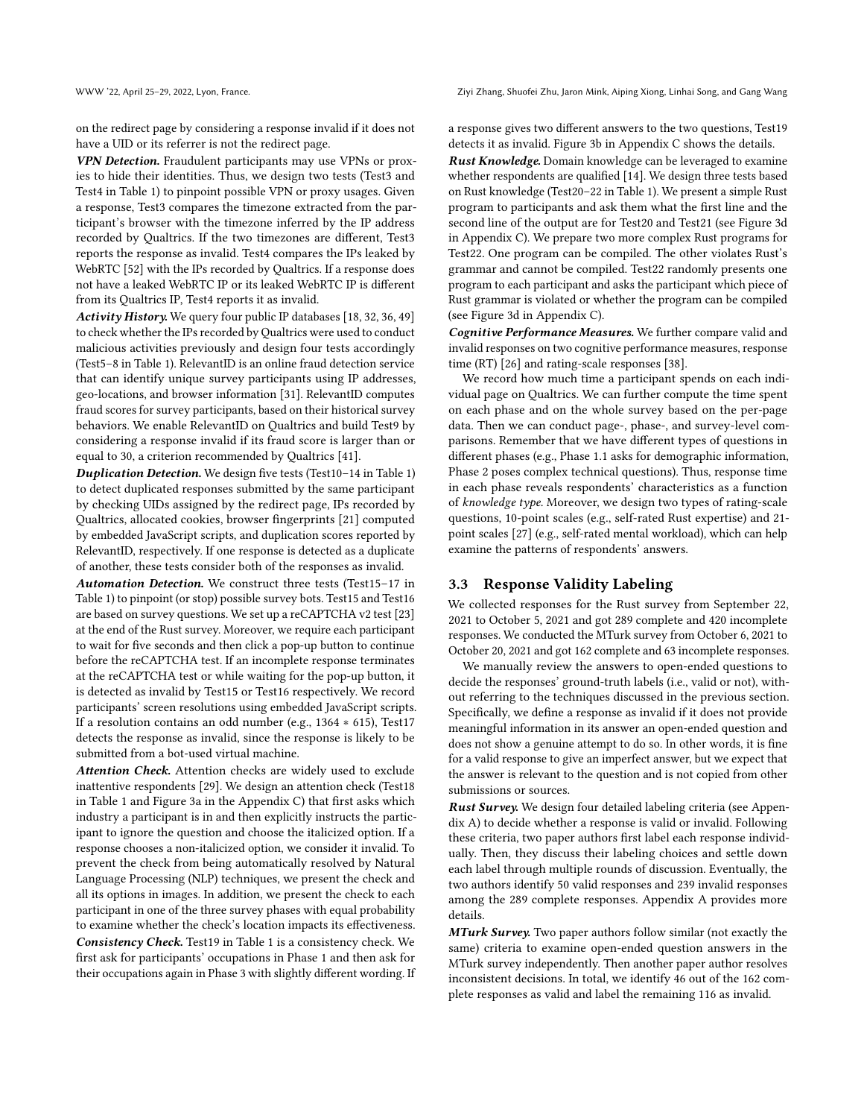WWW '22, April 25–29, 2022, Lyon, France. Ziyi Zhang, Shuofei Zhu, Jaron Mink, Aiping Xiong, Linhai Song, and Gang Wang

on the redirect page by considering a response invalid if it does not have a UID or its referrer is not the redirect page.

VPN Detection. Fraudulent participants may use VPNs or proxies to hide their identities. Thus, we design two tests (Test3 and Test4 in Table [1\)](#page-2-0) to pinpoint possible VPN or proxy usages. Given a response, Test3 compares the timezone extracted from the participant's browser with the timezone inferred by the IP address recorded by Qualtrics. If the two timezones are different, Test3 reports the response as invalid. Test4 compares the IPs leaked by WebRTC [\[52\]](#page-9-7) with the IPs recorded by Qualtrics. If a response does not have a leaked WebRTC IP or its leaked WebRTC IP is different from its Qualtrics IP, Test4 reports it as invalid.

Activity History. We query four public IP databases [\[18,](#page-8-16) [32,](#page-8-18) [36,](#page-8-19) [49\]](#page-9-4) to check whether the IPs recorded by Qualtrics were used to conduct malicious activities previously and design four tests accordingly (Test5–8 in Table [1\)](#page-2-0). RelevantID is an online fraud detection service that can identify unique survey participants using IP addresses, geo-locations, and browser information [\[31\]](#page-8-17). RelevantID computes fraud scores for survey participants, based on their historical survey behaviors. We enable RelevantID on Qualtrics and build Test9 by considering a response invalid if its fraud score is larger than or equal to 30, a criterion recommended by Qualtrics [\[41\]](#page-8-32).

Duplication Detection. We design five tests (Test10–14 in Table [1\)](#page-2-0) to detect duplicated responses submitted by the same participant by checking UIDs assigned by the redirect page, IPs recorded by Qualtrics, allocated cookies, browser fingerprints [\[21\]](#page-8-33) computed by embedded JavaScript scripts, and duplication scores reported by RelevantID, respectively. If one response is detected as a duplicate of another, these tests consider both of the responses as invalid.

Automation Detection. We construct three tests (Test15–17 in Table [1\)](#page-2-0) to pinpoint (or stop) possible survey bots. Test15 and Test16 are based on survey questions. We set up a reCAPTCHA v2 test [\[23\]](#page-8-34) at the end of the Rust survey. Moreover, we require each participant to wait for five seconds and then click a pop-up button to continue before the reCAPTCHA test. If an incomplete response terminates at the reCAPTCHA test or while waiting for the pop-up button, it is detected as invalid by Test15 or Test16 respectively. We record participants' screen resolutions using embedded JavaScript scripts. If a resolution contains an odd number (e.g., 1364 ∗ 615), Test17 detects the response as invalid, since the response is likely to be submitted from a bot-used virtual machine.

Attention Check. Attention checks are widely used to exclude inattentive respondents [\[29\]](#page-8-8). We design an attention check (Test18 in Table [1](#page-2-0) and Figure [3a](#page-10-1) in the Appendix [C\)](#page-10-2) that first asks which industry a participant is in and then explicitly instructs the participant to ignore the question and choose the italicized option. If a response chooses a non-italicized option, we consider it invalid. To prevent the check from being automatically resolved by Natural Language Processing (NLP) techniques, we present the check and all its options in images. In addition, we present the check to each participant in one of the three survey phases with equal probability to examine whether the check's location impacts its effectiveness. Consistency Check. Test19 in Table [1](#page-2-0) is a consistency check. We first ask for participants' occupations in Phase 1 and then ask for their occupations again in Phase 3 with slightly different wording. If a response gives two different answers to the two questions, Test19 detects it as invalid. Figure [3b](#page-10-1) in Appendix [C](#page-10-2) shows the details.

Rust Knowledge. Domain knowledge can be leveraged to examine whether respondents are qualified [\[14\]](#page-8-6). We design three tests based on Rust knowledge (Test20–22 in Table [1\)](#page-2-0). We present a simple Rust program to participants and ask them what the first line and the second line of the output are for Test20 and Test21 (see Figure [3d](#page-10-1) in Appendix [C\)](#page-10-2). We prepare two more complex Rust programs for Test22. One program can be compiled. The other violates Rust's grammar and cannot be compiled. Test22 randomly presents one program to each participant and asks the participant which piece of Rust grammar is violated or whether the program can be compiled (see Figure [3d](#page-10-1) in Appendix [C\)](#page-10-2).

Cognitive Performance Measures. We further compare valid and invalid responses on two cognitive performance measures, response time (RT) [\[26\]](#page-8-35) and rating-scale responses [\[38\]](#page-8-36).

We record how much time a participant spends on each individual page on Qualtrics. We can further compute the time spent on each phase and on the whole survey based on the per-page data. Then we can conduct page-, phase-, and survey-level comparisons. Remember that we have different types of questions in different phases (e.g., Phase 1.1 asks for demographic information, Phase 2 poses complex technical questions). Thus, response time in each phase reveals respondents' characteristics as a function of knowledge type. Moreover, we design two types of rating-scale questions, 10-point scales (e.g., self-rated Rust expertise) and 21 point scales [\[27\]](#page-8-37) (e.g., self-rated mental workload), which can help examine the patterns of respondents' answers.

#### <span id="page-3-0"></span>3.3 Response Validity Labeling

We collected responses for the Rust survey from September 22, 2021 to October 5, 2021 and got 289 complete and 420 incomplete responses. We conducted the MTurk survey from October 6, 2021 to October 20, 2021 and got 162 complete and 63 incomplete responses.

We manually review the answers to open-ended questions to decide the responses' ground-truth labels (i.e., valid or not), without referring to the techniques discussed in the previous section. Specifically, we define a response as invalid if it does not provide meaningful information in its answer an open-ended question and does not show a genuine attempt to do so. In other words, it is fine for a valid response to give an imperfect answer, but we expect that the answer is relevant to the question and is not copied from other submissions or sources.

Rust Survey. We design four detailed labeling criteria (see Appendix [A\)](#page-9-8) to decide whether a response is valid or invalid. Following these criteria, two paper authors first label each response individually. Then, they discuss their labeling choices and settle down each label through multiple rounds of discussion. Eventually, the two authors identify 50 valid responses and 239 invalid responses among the 289 complete responses. Appendix [A](#page-9-8) provides more details.

MTurk Survey. Two paper authors follow similar (not exactly the same) criteria to examine open-ended question answers in the MTurk survey independently. Then another paper author resolves inconsistent decisions. In total, we identify 46 out of the 162 complete responses as valid and label the remaining 116 as invalid.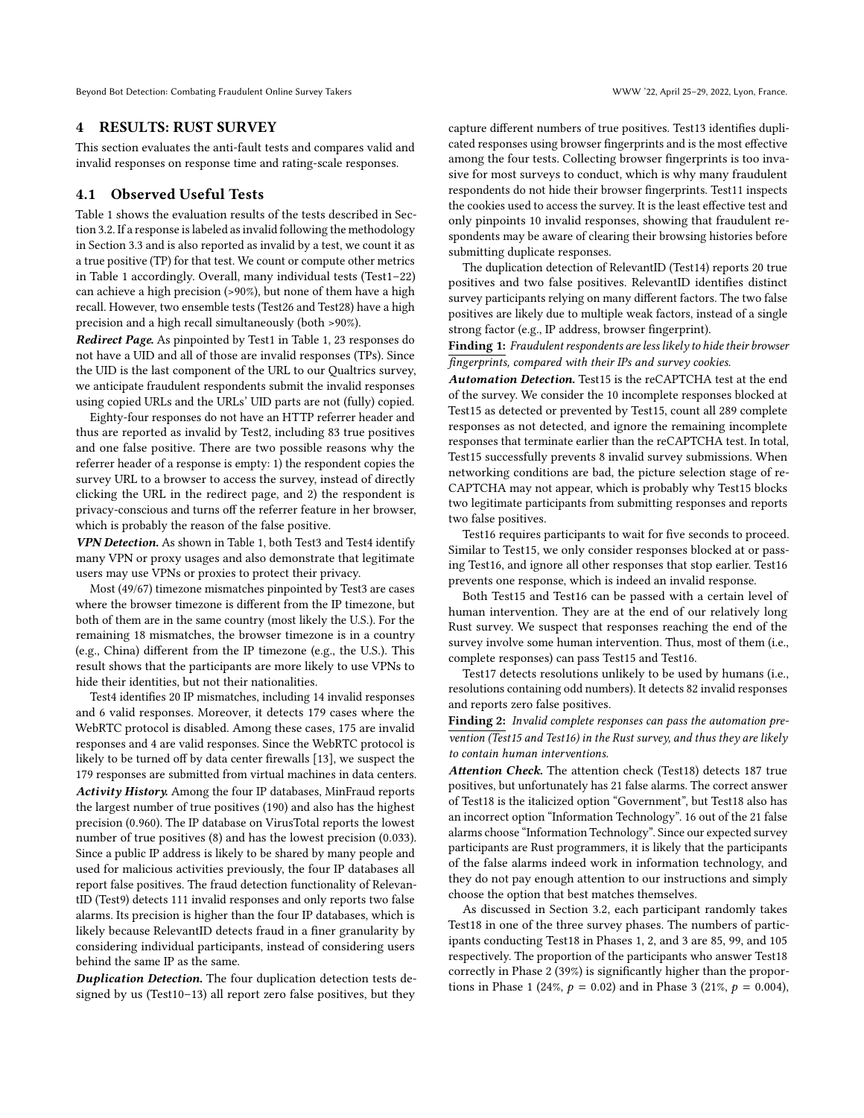Beyond Bot Detection: Combating Fraudulent Online Survey Takers WWW '22, April 25-29, 2022, Lyon, France.

#### <span id="page-4-0"></span>4 RESULTS: RUST SURVEY

This section evaluates the anti-fault tests and compares valid and invalid responses on response time and rating-scale responses.

# 4.1 Observed Useful Tests

Table [1](#page-2-0) shows the evaluation results of the tests described in Section [3.2.](#page-2-1) If a response is labeled as invalid following the methodology in Section [3.3](#page-3-0) and is also reported as invalid by a test, we count it as a true positive (TP) for that test. We count or compute other metrics in Table [1](#page-2-0) accordingly. Overall, many individual tests (Test1–22) can achieve a high precision (>90%), but none of them have a high recall. However, two ensemble tests (Test26 and Test28) have a high precision and a high recall simultaneously (both >90%).

Redirect Page. As pinpointed by Test1 in Table [1,](#page-2-0) 23 responses do not have a UID and all of those are invalid responses (TPs). Since the UID is the last component of the URL to our Qualtrics survey, we anticipate fraudulent respondents submit the invalid responses using copied URLs and the URLs' UID parts are not (fully) copied.

Eighty-four responses do not have an HTTP referrer header and thus are reported as invalid by Test2, including 83 true positives and one false positive. There are two possible reasons why the referrer header of a response is empty: 1) the respondent copies the survey URL to a browser to access the survey, instead of directly clicking the URL in the redirect page, and 2) the respondent is privacy-conscious and turns off the referrer feature in her browser, which is probably the reason of the false positive.

VPN Detection. As shown in Table [1,](#page-2-0) both Test3 and Test4 identify many VPN or proxy usages and also demonstrate that legitimate users may use VPNs or proxies to protect their privacy.

Most (49/67) timezone mismatches pinpointed by Test3 are cases where the browser timezone is different from the IP timezone, but both of them are in the same country (most likely the U.S.). For the remaining 18 mismatches, the browser timezone is in a country (e.g., China) different from the IP timezone (e.g., the U.S.). This result shows that the participants are more likely to use VPNs to hide their identities, but not their nationalities.

Test4 identifies 20 IP mismatches, including 14 invalid responses and 6 valid responses. Moreover, it detects 179 cases where the WebRTC protocol is disabled. Among these cases, 175 are invalid responses and 4 are valid responses. Since the WebRTC protocol is likely to be turned off by data center firewalls [\[13\]](#page-8-38), we suspect the 179 responses are submitted from virtual machines in data centers. Activity History. Among the four IP databases, MinFraud reports the largest number of true positives (190) and also has the highest precision (0.960). The IP database on VirusTotal reports the lowest number of true positives (8) and has the lowest precision (0.033). Since a public IP address is likely to be shared by many people and used for malicious activities previously, the four IP databases all report false positives. The fraud detection functionality of RelevantID (Test9) detects 111 invalid responses and only reports two false alarms. Its precision is higher than the four IP databases, which is likely because RelevantID detects fraud in a finer granularity by considering individual participants, instead of considering users behind the same IP as the same.

Duplication Detection. The four duplication detection tests designed by us (Test10–13) all report zero false positives, but they

capture different numbers of true positives. Test13 identifies duplicated responses using browser fingerprints and is the most effective among the four tests. Collecting browser fingerprints is too invasive for most surveys to conduct, which is why many fraudulent respondents do not hide their browser fingerprints. Test11 inspects the cookies used to access the survey. It is the least effective test and only pinpoints 10 invalid responses, showing that fraudulent respondents may be aware of clearing their browsing histories before submitting duplicate responses.

The duplication detection of RelevantID (Test14) reports 20 true positives and two false positives. RelevantID identifies distinct survey participants relying on many different factors. The two false positives are likely due to multiple weak factors, instead of a single strong factor (e.g., IP address, browser fingerprint).

Finding 1: Fraudulent respondents are less likely to hide their browser fingerprints, compared with their IPs and survey cookies.

Automation Detection. Test15 is the reCAPTCHA test at the end of the survey. We consider the 10 incomplete responses blocked at Test15 as detected or prevented by Test15, count all 289 complete responses as not detected, and ignore the remaining incomplete responses that terminate earlier than the reCAPTCHA test. In total, Test15 successfully prevents 8 invalid survey submissions. When networking conditions are bad, the picture selection stage of re-CAPTCHA may not appear, which is probably why Test15 blocks two legitimate participants from submitting responses and reports two false positives.

Test16 requires participants to wait for five seconds to proceed. Similar to Test15, we only consider responses blocked at or passing Test16, and ignore all other responses that stop earlier. Test16 prevents one response, which is indeed an invalid response.

Both Test15 and Test16 can be passed with a certain level of human intervention. They are at the end of our relatively long Rust survey. We suspect that responses reaching the end of the survey involve some human intervention. Thus, most of them (i.e., complete responses) can pass Test15 and Test16.

Test17 detects resolutions unlikely to be used by humans (i.e., resolutions containing odd numbers). It detects 82 invalid responses and reports zero false positives.

Finding 2: Invalid complete responses can pass the automation prevention (Test15 and Test16) in the Rust survey, and thus they are likely to contain human interventions.

Attention Check. The attention check (Test18) detects 187 true positives, but unfortunately has 21 false alarms. The correct answer of Test18 is the italicized option "Government", but Test18 also has an incorrect option "Information Technology". 16 out of the 21 false alarms choose "Information Technology". Since our expected survey participants are Rust programmers, it is likely that the participants of the false alarms indeed work in information technology, and they do not pay enough attention to our instructions and simply choose the option that best matches themselves.

As discussed in Section [3.2,](#page-2-1) each participant randomly takes Test18 in one of the three survey phases. The numbers of participants conducting Test18 in Phases 1, 2, and 3 are 85, 99, and 105 respectively. The proportion of the participants who answer Test18 correctly in Phase 2 (39%) is significantly higher than the proportions in Phase 1 (24%,  $p = 0.02$ ) and in Phase 3 (21%,  $p = 0.004$ ),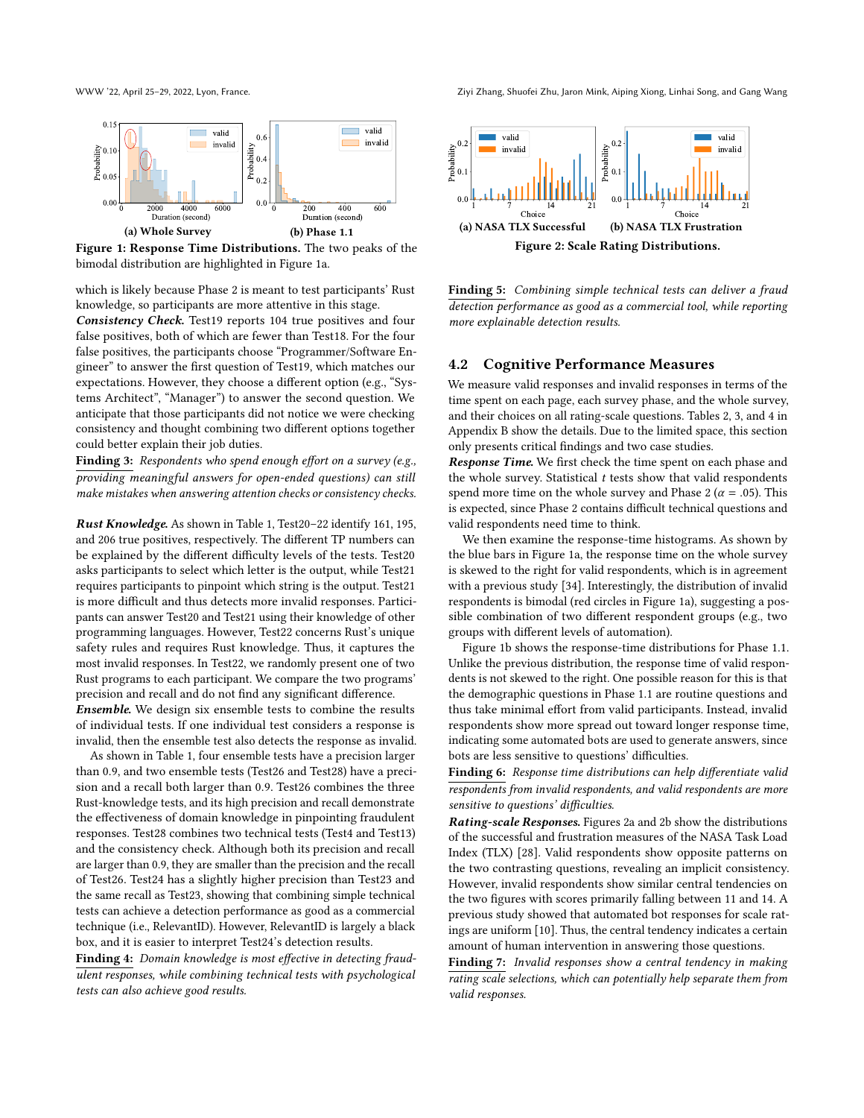<span id="page-5-0"></span>

Figure 1: Response Time Distributions. The two peaks of the bimodal distribution are highlighted in Figure [1a.](#page-5-0)

which is likely because Phase 2 is meant to test participants' Rust knowledge, so participants are more attentive in this stage.

Consistency Check. Test19 reports 104 true positives and four false positives, both of which are fewer than Test18. For the four false positives, the participants choose "Programmer/Software Engineer" to answer the first question of Test19, which matches our expectations. However, they choose a different option (e.g., "Systems Architect", "Manager") to answer the second question. We anticipate that those participants did not notice we were checking consistency and thought combining two different options together could better explain their job duties.

Finding 3: Respondents who spend enough effort on a survey (e.g., providing meaningful answers for open-ended questions) can still make mistakes when answering attention checks or consistency checks.

Rust Knowledge. As shown in Table [1,](#page-2-0) Test20–22 identify 161, 195, and 206 true positives, respectively. The different TP numbers can be explained by the different difficulty levels of the tests. Test20 asks participants to select which letter is the output, while Test21 requires participants to pinpoint which string is the output. Test21 is more difficult and thus detects more invalid responses. Participants can answer Test20 and Test21 using their knowledge of other programming languages. However, Test22 concerns Rust's unique safety rules and requires Rust knowledge. Thus, it captures the most invalid responses. In Test22, we randomly present one of two Rust programs to each participant. We compare the two programs' precision and recall and do not find any significant difference.

Ensemble. We design six ensemble tests to combine the results of individual tests. If one individual test considers a response is invalid, then the ensemble test also detects the response as invalid.

As shown in Table [1,](#page-2-0) four ensemble tests have a precision larger than 0.9, and two ensemble tests (Test26 and Test28) have a precision and a recall both larger than 0.9. Test26 combines the three Rust-knowledge tests, and its high precision and recall demonstrate the effectiveness of domain knowledge in pinpointing fraudulent responses. Test28 combines two technical tests (Test4 and Test13) and the consistency check. Although both its precision and recall are larger than 0.9, they are smaller than the precision and the recall of Test26. Test24 has a slightly higher precision than Test23 and the same recall as Test23, showing that combining simple technical tests can achieve a detection performance as good as a commercial technique (i.e., RelevantID). However, RelevantID is largely a black box, and it is easier to interpret Test24's detection results.

Finding 4: Domain knowledge is most effective in detecting fraudulent responses, while combining technical tests with psychological tests can also achieve good results.

WWW '22, April 25–29, 2022, Lyon, France. Ziyi Zhang, Shuofei Zhu, Jaron Mink, Aiping Xiong, Linhai Song, and Gang Wang



Finding 5: Combining simple technical tests can deliver a fraud detection performance as good as a commercial tool, while reporting more explainable detection results.

### 4.2 Cognitive Performance Measures

We measure valid responses and invalid responses in terms of the time spent on each page, each survey phase, and the whole survey, and their choices on all rating-scale questions. Tables [2,](#page-9-9) [3,](#page-10-3) and [4](#page-10-4) in Appendix [B](#page-9-10) show the details. Due to the limited space, this section only presents critical findings and two case studies.

Response Time. We first check the time spent on each phase and the whole survey. Statistical  $t$  tests show that valid respondents spend more time on the whole survey and Phase 2 ( $\alpha$  = .05). This is expected, since Phase 2 contains difficult technical questions and valid respondents need time to think.

We then examine the response-time histograms. As shown by the blue bars in Figure [1a,](#page-5-0) the response time on the whole survey is skewed to the right for valid respondents, which is in agreement with a previous study [\[34\]](#page-8-39). Interestingly, the distribution of invalid respondents is bimodal (red circles in Figure [1a\)](#page-5-0), suggesting a possible combination of two different respondent groups (e.g., two groups with different levels of automation).

Figure [1b](#page-5-0) shows the response-time distributions for Phase 1.1. Unlike the previous distribution, the response time of valid respondents is not skewed to the right. One possible reason for this is that the demographic questions in Phase 1.1 are routine questions and thus take minimal effort from valid participants. Instead, invalid respondents show more spread out toward longer response time, indicating some automated bots are used to generate answers, since bots are less sensitive to questions' difficulties.

Finding 6: Response time distributions can help differentiate valid respondents from invalid respondents, and valid respondents are more sensitive to questions' difficulties.

Rating-scale Responses. Figures [2a](#page-5-0) and [2b](#page-5-0) show the distributions of the successful and frustration measures of the NASA Task Load Index (TLX) [\[28\]](#page-8-40). Valid respondents show opposite patterns on the two contrasting questions, revealing an implicit consistency. However, invalid respondents show similar central tendencies on the two figures with scores primarily falling between 11 and 14. A previous study showed that automated bot responses for scale ratings are uniform [\[10\]](#page-8-29). Thus, the central tendency indicates a certain amount of human intervention in answering those questions.

Finding 7: Invalid responses show a central tendency in making rating scale selections, which can potentially help separate them from valid responses.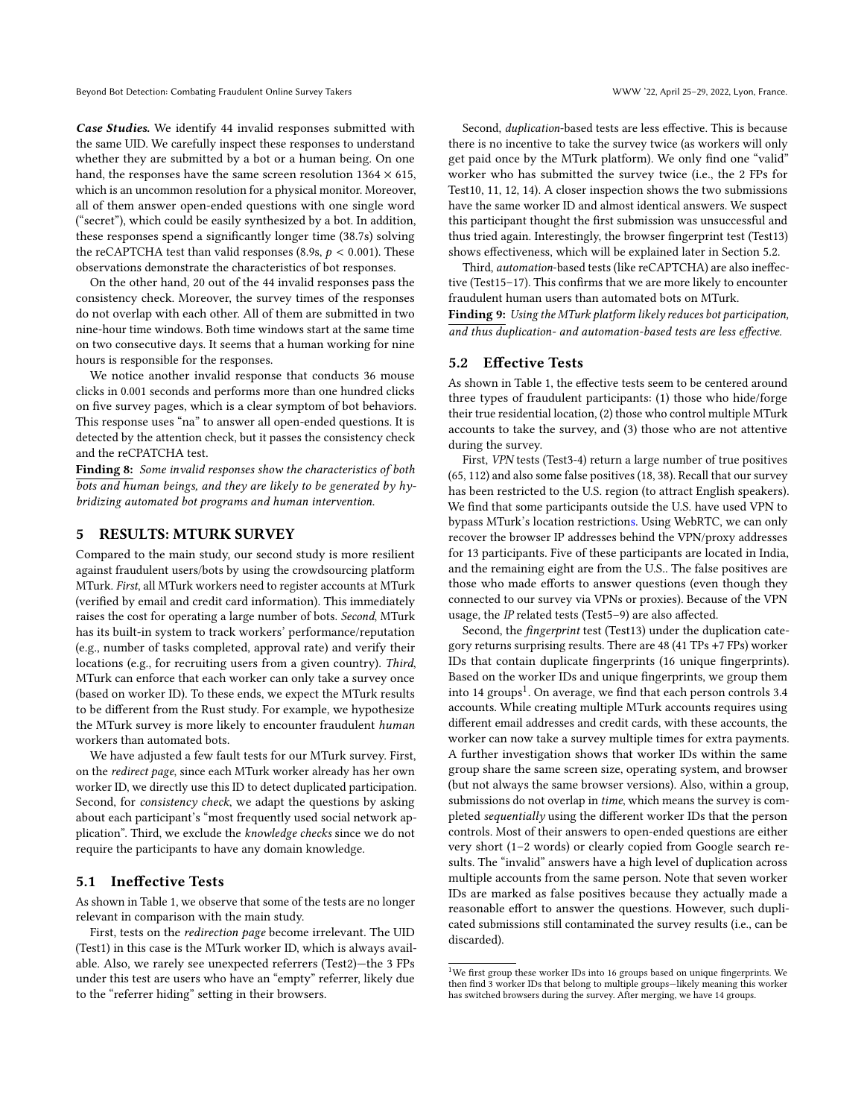Case Studies. We identify 44 invalid responses submitted with the same UID. We carefully inspect these responses to understand whether they are submitted by a bot or a human being. On one hand, the responses have the same screen resolution  $1364 \times 615$ , which is an uncommon resolution for a physical monitor. Moreover, all of them answer open-ended questions with one single word ("secret"), which could be easily synthesized by a bot. In addition, these responses spend a significantly longer time (38.7s) solving the reCAPTCHA test than valid responses (8.9s,  $p < 0.001$ ). These observations demonstrate the characteristics of bot responses.

On the other hand, 20 out of the 44 invalid responses pass the consistency check. Moreover, the survey times of the responses do not overlap with each other. All of them are submitted in two nine-hour time windows. Both time windows start at the same time on two consecutive days. It seems that a human working for nine hours is responsible for the responses.

We notice another invalid response that conducts 36 mouse clicks in 0.001 seconds and performs more than one hundred clicks on five survey pages, which is a clear symptom of bot behaviors. This response uses "na" to answer all open-ended questions. It is detected by the attention check, but it passes the consistency check and the reCPATCHA test.

Finding 8: Some invalid responses show the characteristics of both bots and human beings, and they are likely to be generated by hybridizing automated bot programs and human intervention.

# <span id="page-6-0"></span>5 RESULTS: MTURK SURVEY

Compared to the main study, our second study is more resilient against fraudulent users/bots by using the crowdsourcing platform MTurk. First, all MTurk workers need to register accounts at MTurk (verified by email and credit card information). This immediately raises the cost for operating a large number of bots. Second, MTurk has its built-in system to track workers' performance/reputation (e.g., number of tasks completed, approval rate) and verify their locations (e.g., for recruiting users from a given country). Third, MTurk can enforce that each worker can only take a survey once (based on worker ID). To these ends, we expect the MTurk results to be different from the Rust study. For example, we hypothesize the MTurk survey is more likely to encounter fraudulent human workers than automated bots.

We have adjusted a few fault tests for our MTurk survey. First, on the redirect page, since each MTurk worker already has her own worker ID, we directly use this ID to detect duplicated participation. Second, for consistency check, we adapt the questions by asking about each participant's "most frequently used social network application". Third, we exclude the knowledge checks since we do not require the participants to have any domain knowledge.

#### 5.1 Ineffective Tests

As shown in Table [1,](#page-2-0) we observe that some of the tests are no longer relevant in comparison with the main study.

First, tests on the redirection page become irrelevant. The UID (Test1) in this case is the MTurk worker ID, which is always available. Also, we rarely see unexpected referrers (Test2)—the 3 FPs under this test are users who have an "empty" referrer, likely due to the "referrer hiding" setting in their browsers.

Second, duplication-based tests are less effective. This is because there is no incentive to take the survey twice (as workers will only get paid once by the MTurk platform). We only find one "valid" worker who has submitted the survey twice (i.e., the 2 FPs for Test10, 11, 12, 14). A closer inspection shows the two submissions have the same worker ID and almost identical answers. We suspect this participant thought the first submission was unsuccessful and thus tried again. Interestingly, the browser fingerprint test (Test13) shows effectiveness, which will be explained later in Section [5.2.](#page-6-1)

Third, automation-based tests (like reCAPTCHA) are also ineffective (Test15–17). This confirms that we are more likely to encounter fraudulent human users than automated bots on MTurk.

Finding 9: Using the MTurk platform likely reduces bot participation, and thus duplication- and automation-based tests are less effective.

#### <span id="page-6-1"></span>5.2 Effective Tests

As shown in Table [1,](#page-2-0) the effective tests seem to be centered around three types of fraudulent participants: (1) those who hide/forge their true residential location, (2) those who control multiple MTurk accounts to take the survey, and (3) those who are not attentive during the survey.

First, VPN tests (Test3-4) return a large number of true positives (65, 112) and also some false positives (18, 38). Recall that our survey has been restricted to the U.S. region (to attract English speakers). We find that some participants outside the U.S. have used VPN to bypass MTurk's location restrictions. Using WebRTC, we can only recover the browser IP addresses behind the VPN/proxy addresses for 13 participants. Five of these participants are located in India, and the remaining eight are from the U.S.. The false positives are those who made efforts to answer questions (even though they connected to our survey via VPNs or proxies). Because of the VPN usage, the IP related tests (Test5–9) are also affected.

Second, the fingerprint test (Test13) under the duplication category returns surprising results. There are 48 (41 TPs +7 FPs) worker IDs that contain duplicate fingerprints (16 unique fingerprints). Based on the worker IDs and unique fingerprints, we group them into  $14$  $14$  groups<sup>1</sup>. On average, we find that each person controls  $3.4$ accounts. While creating multiple MTurk accounts requires using different email addresses and credit cards, with these accounts, the worker can now take a survey multiple times for extra payments. A further investigation shows that worker IDs within the same group share the same screen size, operating system, and browser (but not always the same browser versions). Also, within a group, submissions do not overlap in time, which means the survey is completed sequentially using the different worker IDs that the person controls. Most of their answers to open-ended questions are either very short (1–2 words) or clearly copied from Google search results. The "invalid" answers have a high level of duplication across multiple accounts from the same person. Note that seven worker IDs are marked as false positives because they actually made a reasonable effort to answer the questions. However, such duplicated submissions still contaminated the survey results (i.e., can be discarded).

<span id="page-6-2"></span> $^1\rm{We}$  first group these worker IDs into 16 groups based on unique fingerprints. We then find 3 worker IDs that belong to multiple groups—likely meaning this worker has switched browsers during the survey. After merging, we have 14 groups.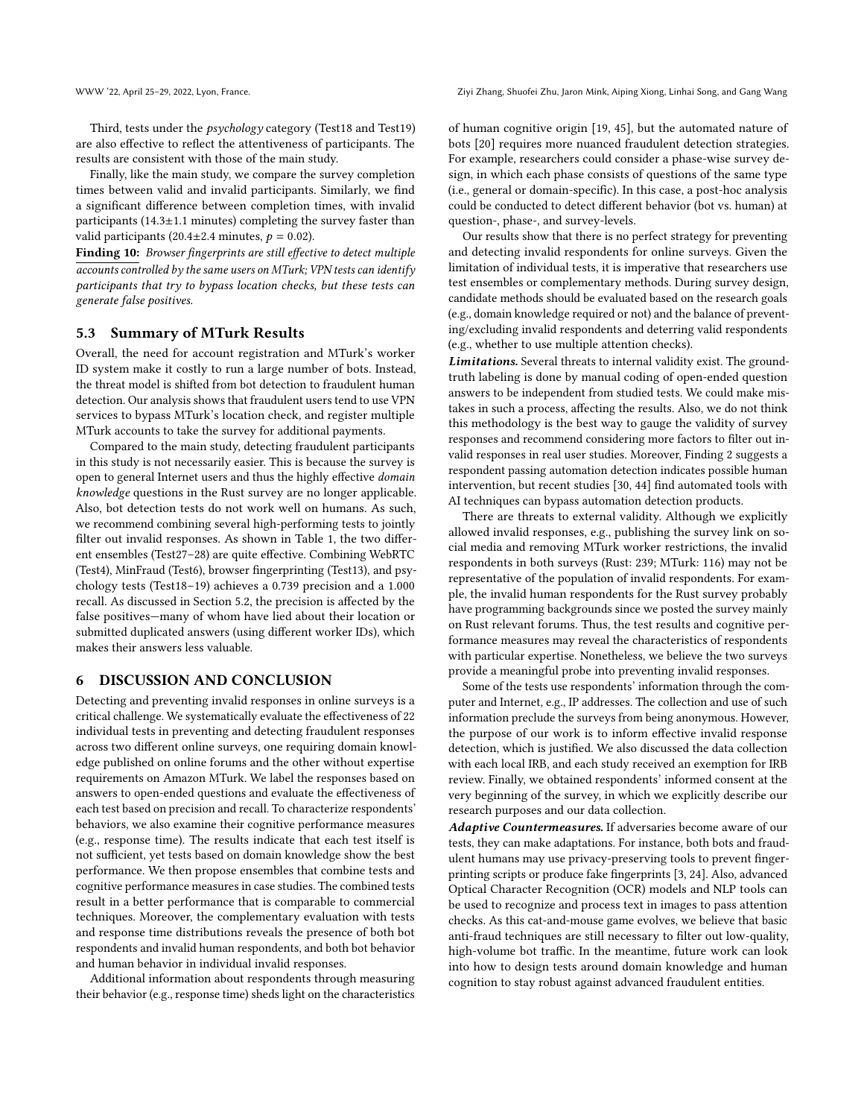Third, tests under the psychology category (Test18 and Test19) are also effective to reflect the attentiveness of participants. The results are consistent with those of the main study.

Finally, like the main study, we compare the survey completion times between valid and invalid participants. Similarly, we find a significant difference between completion times, with invalid participants (14.3±1.1 minutes) completing the survey faster than valid participants (20.4 $\pm$ 2.4 minutes,  $p = 0.02$ ).

Finding 10: Browser fingerprints are still effective to detect multiple accounts controlled by the same users on MTurk; VPN tests can identify participants that try to bypass location checks, but these tests can generate false positives.

#### 5.3 Summary of MTurk Results

Overall, the need for account registration and MTurk's worker ID system make it costly to run a large number of bots. Instead, the threat model is shifted from bot detection to fraudulent human detection. Our analysis shows that fraudulent users tend to use VPN services to bypass MTurk's location check, and register multiple MTurk accounts to take the survey for additional payments.

Compared to the main study, detecting fraudulent participants in this study is not necessarily easier. This is because the survey is open to general Internet users and thus the highly effective domain knowledge questions in the Rust survey are no longer applicable. Also, bot detection tests do not work well on humans. As such, we recommend combining several high-performing tests to jointly filter out invalid responses. As shown in Table [1,](#page-2-0) the two different ensembles (Test27–28) are quite effective. Combining WebRTC (Test4), MinFraud (Test6), browser fingerprinting (Test13), and psychology tests (Test18–19) achieves a 0.739 precision and a 1.000 recall. As discussed in Section [5.2,](#page-6-1) the precision is affected by the false positives—many of whom have lied about their location or submitted duplicated answers (using different worker IDs), which makes their answers less valuable.

# 6 DISCUSSION AND CONCLUSION

Detecting and preventing invalid responses in online surveys is a critical challenge. We systematically evaluate the effectiveness of 22 individual tests in preventing and detecting fraudulent responses across two different online surveys, one requiring domain knowledge published on online forums and the other without expertise requirements on Amazon MTurk. We label the responses based on answers to open-ended questions and evaluate the effectiveness of each test based on precision and recall. To characterize respondents' behaviors, we also examine their cognitive performance measures (e.g., response time). The results indicate that each test itself is not sufficient, yet tests based on domain knowledge show the best performance. We then propose ensembles that combine tests and cognitive performance measures in case studies. The combined tests result in a better performance that is comparable to commercial techniques. Moreover, the complementary evaluation with tests and response time distributions reveals the presence of both bot respondents and invalid human respondents, and both bot behavior and human behavior in individual invalid responses.

Additional information about respondents through measuring their behavior (e.g., response time) sheds light on the characteristics of human cognitive origin [\[19,](#page-8-41) [45\]](#page-8-42), but the automated nature of bots [\[20\]](#page-8-43) requires more nuanced fraudulent detection strategies. For example, researchers could consider a phase-wise survey design, in which each phase consists of questions of the same type (i.e., general or domain-specific). In this case, a post-hoc analysis could be conducted to detect different behavior (bot vs. human) at question-, phase-, and survey-levels.

Our results show that there is no perfect strategy for preventing and detecting invalid respondents for online surveys. Given the limitation of individual tests, it is imperative that researchers use test ensembles or complementary methods. During survey design, candidate methods should be evaluated based on the research goals (e.g., domain knowledge required or not) and the balance of preventing/excluding invalid respondents and deterring valid respondents (e.g., whether to use multiple attention checks).

Limitations. Several threats to internal validity exist. The groundtruth labeling is done by manual coding of open-ended question answers to be independent from studied tests. We could make mistakes in such a process, affecting the results. Also, we do not think this methodology is the best way to gauge the validity of survey responses and recommend considering more factors to filter out invalid responses in real user studies. Moreover, Finding 2 suggests a respondent passing automation detection indicates possible human intervention, but recent studies [\[30,](#page-8-44) [44\]](#page-8-10) find automated tools with AI techniques can bypass automation detection products.

There are threats to external validity. Although we explicitly allowed invalid responses, e.g., publishing the survey link on social media and removing MTurk worker restrictions, the invalid respondents in both surveys (Rust: 239; MTurk: 116) may not be representative of the population of invalid respondents. For example, the invalid human respondents for the Rust survey probably have programming backgrounds since we posted the survey mainly on Rust relevant forums. Thus, the test results and cognitive performance measures may reveal the characteristics of respondents with particular expertise. Nonetheless, we believe the two surveys provide a meaningful probe into preventing invalid responses.

Some of the tests use respondents' information through the computer and Internet, e.g., IP addresses. The collection and use of such information preclude the surveys from being anonymous. However, the purpose of our work is to inform effective invalid response detection, which is justified. We also discussed the data collection with each local IRB, and each study received an exemption for IRB review. Finally, we obtained respondents' informed consent at the very beginning of the survey, in which we explicitly describe our research purposes and our data collection.

Adaptive Countermeasures. If adversaries become aware of our tests, they can make adaptations. For instance, both bots and fraudulent humans may use privacy-preserving tools to prevent fingerprinting scripts or produce fake fingerprints [\[3,](#page-8-45) [24\]](#page-8-46). Also, advanced Optical Character Recognition (OCR) models and NLP tools can be used to recognize and process text in images to pass attention checks. As this cat-and-mouse game evolves, we believe that basic anti-fraud techniques are still necessary to filter out low-quality, high-volume bot traffic. In the meantime, future work can look into how to design tests around domain knowledge and human cognition to stay robust against advanced fraudulent entities.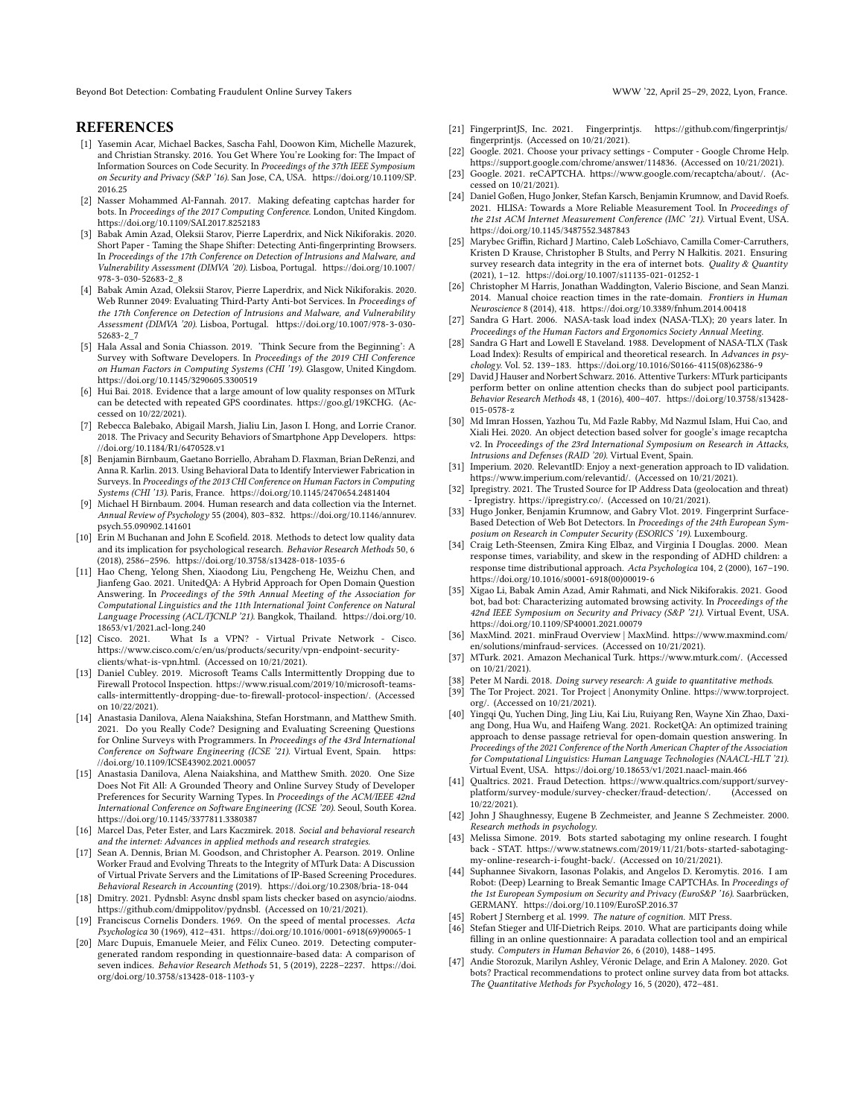Beyond Bot Detection: Combating Fraudulent Online Survey Takers WWW '22, April 25–29, 2022, Lyon, France.

#### **REFERENCES**

- <span id="page-8-26"></span>[1] Yasemin Acar, Michael Backes, Sascha Fahl, Doowon Kim, Michelle Mazurek, and Christian Stransky. 2016. You Get Where You're Looking for: The Impact of Information Sources on Code Security. In Proceedings of the 37th IEEE Symposium on Security and Privacy (S&P '16). San Jose, CA, USA. [https://doi.org/10.1109/SP.](https://doi.org/10.1109/SP.2016.25) [2016.25](https://doi.org/10.1109/SP.2016.25)
- <span id="page-8-24"></span>[2] Nasser Mohammed Al-Fannah. 2017. Making defeating captchas harder for bots. In Proceedings of the 2017 Computing Conference. London, United Kingdom. <https://doi.org/10.1109/SAI.2017.8252183>
- <span id="page-8-45"></span>[3] Babak Amin Azad, Oleksii Starov, Pierre Laperdrix, and Nick Nikiforakis. 2020. Short Paper - Taming the Shape Shifter: Detecting Anti-fingerprinting Browsers. In Proceedings of the 17th Conference on Detection of Intrusions and Malware, and Vulnerability Assessment (DIMVA '20). Lisboa, Portugal. [https://doi.org/10.1007/](https://doi.org/10.1007/978-3-030-52683-2_8) [978-3-030-52683-2\\_8](https://doi.org/10.1007/978-3-030-52683-2_8)
- <span id="page-8-20"></span>[4] Babak Amin Azad, Oleksii Starov, Pierre Laperdrix, and Nick Nikiforakis. 2020. Web Runner 2049: Evaluating Third-Party Anti-bot Services. In Proceedings of the 17th Conference on Detection of Intrusions and Malware, and Vulnerability Assessment (DIMVA '20). Lisboa, Portugal. [https://doi.org/10.1007/978-3-030-](https://doi.org/10.1007/978-3-030-52683-2_7) [52683-2\\_7](https://doi.org/10.1007/978-3-030-52683-2_7)
- <span id="page-8-27"></span>[5] Hala Assal and Sonia Chiasson. 2019. 'Think Secure from the Beginning': A Survey with Software Developers. In Proceedings of the 2019 CHI Conference on Human Factors in Computing Systems (CHI '19). Glasgow, United Kingdom. <https://doi.org/10.1145/3290605.3300519>
- <span id="page-8-31"></span>[6] Hui Bai. 2018. Evidence that a large amount of low quality responses on MTurk can be detected with repeated GPS coordinates. [https://goo.gl/19KCHG.](https://goo.gl/19KCHG) (Accessed on 10/22/2021).
- <span id="page-8-28"></span>[7] Rebecca Balebako, Abigail Marsh, Jialiu Lin, Jason I. Hong, and Lorrie Cranor. 2018. The Privacy and Security Behaviors of Smartphone App Developers. [https:](https://doi.org/10.1184/R1/6470528.v1) [//doi.org/10.1184/R1/6470528.v1](https://doi.org/10.1184/R1/6470528.v1)
- <span id="page-8-3"></span>[8] Benjamin Birnbaum, Gaetano Borriello, Abraham D. Flaxman, Brian DeRenzi, and Anna R. Karlin. 2013. Using Behavioral Data to Identify Interviewer Fabrication in Surveys. In Proceedings of the 2013 CHI Conference on Human Factors in Computing Systems (CHI '13). Paris, France.<https://doi.org/10.1145/2470654.2481404>
- <span id="page-8-1"></span>[9] Michael H Birnbaum. 2004. Human research and data collection via the Internet. Annual Review of Psychology 55 (2004), 803–832. [https://doi.org/10.1146/annurev.](https://doi.org/10.1146/annurev.psych.55.090902.141601) [psych.55.090902.141601](https://doi.org/10.1146/annurev.psych.55.090902.141601)
- <span id="page-8-29"></span>[10] Erin M Buchanan and John E Scofield. 2018. Methods to detect low quality data and its implication for psychological research. Behavior Research Methods 50, 6 (2018), 2586–2596.<https://doi.org/10.3758/s13428-018-1035-6>
- <span id="page-8-11"></span>[11] Hao Cheng, Yelong Shen, Xiaodong Liu, Pengcheng He, Weizhu Chen, and Jianfeng Gao. 2021. UnitedQA: A Hybrid Approach for Open Domain Question Answering. In Proceedings of the 59th Annual Meeting of the Association for Computational Linguistics and the 11th International Joint Conference on Natural Language Processing (ACL/IJCNLP '21). Bangkok, Thailand. [https://doi.org/10.](https://doi.org/10.18653/v1/2021.acl-long.240) [18653/v1/2021.acl-long.240](https://doi.org/10.18653/v1/2021.acl-long.240)
- <span id="page-8-15"></span>[12] Cisco. 2021. What Is a VPN? - Virtual Private Network - Cisco. [https://www.cisco.com/c/en/us/products/security/vpn-endpoint-security](https://www.cisco.com/c/en/us/products/security/vpn-endpoint-security-clients/what-is-vpn.html)[clients/what-is-vpn.html.](https://www.cisco.com/c/en/us/products/security/vpn-endpoint-security-clients/what-is-vpn.html) (Accessed on 10/21/2021).
- <span id="page-8-38"></span>[13] Daniel Cubley. 2019. Microsoft Teams Calls Intermittently Dropping due to Firewall Protocol Inspection. [https://www.risual.com/2019/10/microsoft-teams](https://www.risual.com/2019/10/microsoft-teams-calls-intermittently-dropping-due-to-firewall-protocol-inspection/)[calls-intermittently-dropping-due-to-firewall-protocol-inspection/.](https://www.risual.com/2019/10/microsoft-teams-calls-intermittently-dropping-due-to-firewall-protocol-inspection/) (Accessed on 10/22/2021).
- <span id="page-8-6"></span>[14] Anastasia Danilova, Alena Naiakshina, Stefan Horstmann, and Matthew Smith. 2021. Do you Really Code? Designing and Evaluating Screening Questions for Online Surveys with Programmers. In Proceedings of the 43rd International Conference on Software Engineering (ICSE '21). Virtual Event, Spain. [https:](https://doi.org/10.1109/ICSE43902.2021.00057) [//doi.org/10.1109/ICSE43902.2021.00057](https://doi.org/10.1109/ICSE43902.2021.00057)
- <span id="page-8-7"></span>[15] Anastasia Danilova, Alena Naiakshina, and Matthew Smith. 2020. One Size Does Not Fit All: A Grounded Theory and Online Survey Study of Developer Preferences for Security Warning Types. In Proceedings of the ACM/IEEE 42nd International Conference on Software Engineering (ICSE '20). Seoul, South Korea. <https://doi.org/10.1145/3377811.3380387>
- <span id="page-8-2"></span>[16] Marcel Das, Peter Ester, and Lars Kaczmirek. 2018. Social and behavioral research and the internet: Advances in applied methods and research strategies.
- <span id="page-8-25"></span>[17] Sean A. Dennis, Brian M. Goodson, and Christopher A. Pearson. 2019. Online Worker Fraud and Evolving Threats to the Integrity of MTurk Data: A Discussion of Virtual Private Servers and the Limitations of IP-Based Screening Procedures. Behavioral Research in Accounting (2019).<https://doi.org/10.2308/bria-18-044>
- <span id="page-8-16"></span>[18] Dmitry. 2021. Pydnsbl: Async dnsbl spam lists checker based on asyncio/aiodns. [https://github.com/dmippolitov/pydnsbl.](https://github.com/dmippolitov/pydnsbl) (Accessed on 10/21/2021).
- <span id="page-8-41"></span>[19] Franciscus Cornelis Donders. 1969. On the speed of mental processes. Acta Psychologica 30 (1969), 412–431. [https://doi.org/10.1016/0001-6918\(69\)90065-1](https://doi.org/10.1016/0001-6918(69)90065-1)
- <span id="page-8-43"></span>[20] Marc Dupuis, Emanuele Meier, and Félix Cuneo. 2019. Detecting computergenerated random responding in questionnaire-based data: A comparison of seven indices. Behavior Research Methods 51, 5 (2019), 2228–2237. [https://doi.](https://doi.org/doi.org/10.3758/s13428-018-1103-y) [org/doi.org/10.3758/s13428-018-1103-y](https://doi.org/doi.org/10.3758/s13428-018-1103-y)
- <span id="page-8-33"></span>[21] FingerprintJS, Inc. 2021. Fingerprintjs. [https://github.com/fingerprintjs/](https://github.com/fingerprintjs/fingerprintjs) [fingerprintjs.](https://github.com/fingerprintjs/fingerprintjs) (Accessed on 10/21/2021).
- <span id="page-8-13"></span>[22] Google. 2021. Choose your privacy settings - Computer - Google Chrome Help. [https://support.google.com/chrome/answer/114836.](https://support.google.com/chrome/answer/114836) (Accessed on 10/21/2021).
- <span id="page-8-34"></span>[23] Google. 2021. reCAPTCHA. [https://www.google.com/recaptcha/about/.](https://www.google.com/recaptcha/about/) (Accessed on 10/21/2021).
- <span id="page-8-46"></span>[24] Daniel Goßen, Hugo Jonker, Stefan Karsch, Benjamin Krumnow, and David Roefs. 2021. HLISA: Towards a More Reliable Measurement Tool. In Proceedings of the 21st ACM Internet Measurement Conference (IMC '21). Virtual Event, USA. <https://doi.org/10.1145/3487552.3487843>
- <span id="page-8-4"></span>[25] Marybec Griffin, Richard J Martino, Caleb LoSchiavo, Camilla Comer-Carruthers, Kristen D Krause, Christopher B Stults, and Perry N Halkitis. 2021. Ensuring survey research data integrity in the era of internet bots. Quality & Quantity (2021), 1–12.<https://doi.org/10.1007/s11135-021-01252-1>
- <span id="page-8-35"></span>[26] Christopher M Harris, Jonathan Waddington, Valerio Biscione, and Sean Manzi. 2014. Manual choice reaction times in the rate-domain. Frontiers in Human Neuroscience 8 (2014), 418.<https://doi.org/10.3389/fnhum.2014.00418>
- <span id="page-8-37"></span>[27] Sandra G Hart. 2006. NASA-task load index (NASA-TLX); 20 years later. In Proceedings of the Human Factors and Ergonomics Society Annual Meeting.
- <span id="page-8-40"></span>[28] Sandra G Hart and Lowell E Staveland. 1988. Development of NASA-TLX (Task Load Index): Results of empirical and theoretical research. In Advances in psychology. Vol. 52. 139–183. [https://doi.org/10.1016/S0166-4115\(08\)62386-9](https://doi.org/10.1016/S0166-4115(08)62386-9)
- <span id="page-8-8"></span>[29] David J Hauser and Norbert Schwarz. 2016. Attentive Turkers: MTurk participants perform better on online attention checks than do subject pool participants. Behavior Research Methods 48, 1 (2016), 400–407. [https://doi.org/10.3758/s13428-](https://doi.org/10.3758/s13428-015-0578-z) [015-0578-z](https://doi.org/10.3758/s13428-015-0578-z)
- <span id="page-8-44"></span>[30] Md Imran Hossen, Yazhou Tu, Md Fazle Rabby, Md Nazmul Islam, Hui Cao, and Xiali Hei. 2020. An object detection based solver for google's image recaptcha v2. In Proceedings of the 23rd International Symposium on Research in Attacks, Intrusions and Defenses (RAID '20). Virtual Event, Spain.
- <span id="page-8-17"></span>[31] Imperium. 2020. RelevantID: Enjoy a next-generation approach to ID validation. [https://www.imperium.com/relevantid/.](https://www.imperium.com/relevantid/) (Accessed on 10/21/2021).
- <span id="page-8-18"></span>[32] Ipregistry. 2021. The Trusted Source for IP Address Data (geolocation and threat) Ipregistry. [https://ipregistry.co/.](https://ipregistry.co/) (Accessed on 10/21/2021).
- <span id="page-8-21"></span>[33] Hugo Jonker, Benjamin Krumnow, and Gabry Vlot. 2019. Fingerprint Surface-Based Detection of Web Bot Detectors. In Proceedings of the 24th European Sym-posium on Research in Computer Security (ESORICS '19). Luxembourg.
- <span id="page-8-39"></span>[34] Craig Leth-Steensen, Zmira King Elbaz, and Virginia I Douglas. 2000. Mean response times, variability, and skew in the responding of ADHD children: a response time distributional approach. Acta Psychologica 104, 2 (2000), 167–190. [https://doi.org/10.1016/s0001-6918\(00\)00019-6](https://doi.org/10.1016/s0001-6918(00)00019-6)
- <span id="page-8-22"></span>[35] Xigao Li, Babak Amin Azad, Amir Rahmati, and Nick Nikiforakis. 2021. Good bot, bad bot: Characterizing automated browsing activity. In Proceedings of the 42nd IEEE Symposium on Security and Privacy (S&P '21). Virtual Event, USA. <https://doi.org/10.1109/SP40001.2021.00079>
- <span id="page-8-19"></span>[36] MaxMind. 2021. minFraud Overview | MaxMind. [https://www.maxmind.com/](https://www.maxmind.com/en/solutions/minfraud-services) [en/solutions/minfraud-services.](https://www.maxmind.com/en/solutions/minfraud-services) (Accessed on 10/21/2021).
- <span id="page-8-23"></span>[37] MTurk. 2021. Amazon Mechanical Turk. [https://www.mturk.com/.](https://www.mturk.com/) (Accessed on 10/21/2021).
- <span id="page-8-36"></span>[38] Peter M Nardi. 2018. Doing survey research: A guide to quantitative methods.
- <span id="page-8-14"></span>[39] The Tor Project. 2021. Tor Project | Anonymity Online. [https://www.torproject.](https://www.torproject.org/) [org/.](https://www.torproject.org/) (Accessed on 10/21/2021).
- <span id="page-8-12"></span>[40] Yingqi Qu, Yuchen Ding, Jing Liu, Kai Liu, Ruiyang Ren, Wayne Xin Zhao, Daxiang Dong, Hua Wu, and Haifeng Wang. 2021. RocketQA: An optimized training approach to dense passage retrieval for open-domain question answering. In Proceedings of the 2021 Conference of the North American Chapter of the Association for Computational Linguistics: Human Language Technologies (NAACL-HLT '21). Virtual Event, USA.<https://doi.org/10.18653/v1/2021.naacl-main.466>
- <span id="page-8-32"></span>[41] Qualtrics. 2021. Fraud Detection. [https://www.qualtrics.com/support/survey](https://www.qualtrics.com/support/survey-platform/survey-module/survey-checker/fraud-detection/)[platform/survey-module/survey-checker/fraud-detection/.](https://www.qualtrics.com/support/survey-platform/survey-module/survey-checker/fraud-detection/) (Accessed on 10/22/2021).
- <span id="page-8-0"></span>[42] John J Shaughnessy, Eugene B Zechmeister, and Jeanne S Zechmeister. 2000. Research methods in psychology.
- <span id="page-8-5"></span>[43] Melissa Simone. 2019. Bots started sabotaging my online research. I fought back - STAT. [https://www.statnews.com/2019/11/21/bots-started-sabotaging](https://www.statnews.com/2019/11/21/bots-started-sabotaging-my-online-research-i-fought-back/)[my-online-research-i-fought-back/.](https://www.statnews.com/2019/11/21/bots-started-sabotaging-my-online-research-i-fought-back/) (Accessed on 10/21/2021).
- <span id="page-8-10"></span>[44] Suphannee Sivakorn, Iasonas Polakis, and Angelos D. Keromytis. 2016. I am Robot: (Deep) Learning to Break Semantic Image CAPTCHAs. In Proceedings of the 1st European Symposium on Security and Privacy (EuroS&P '16). Saarbrücken, GERMANY.<https://doi.org/10.1109/EuroSP.2016.37>
- <span id="page-8-42"></span>45] Robert J Sternberg et al. 1999. The nature of cognition. MIT Press.
- <span id="page-8-30"></span>[46] Stefan Stieger and Ulf-Dietrich Reips. 2010. What are participants doing while filling in an online questionnaire: A paradata collection tool and an empirical study. Computers in Human Behavior 26, 6 (2010), 1488–1495.
- <span id="page-8-9"></span>[47] Andie Storozuk, Marilyn Ashley, Véronic Delage, and Erin A Maloney. 2020. Got bots? Practical recommendations to protect online survey data from bot attacks. The Quantitative Methods for Psychology 16, 5 (2020), 472–481.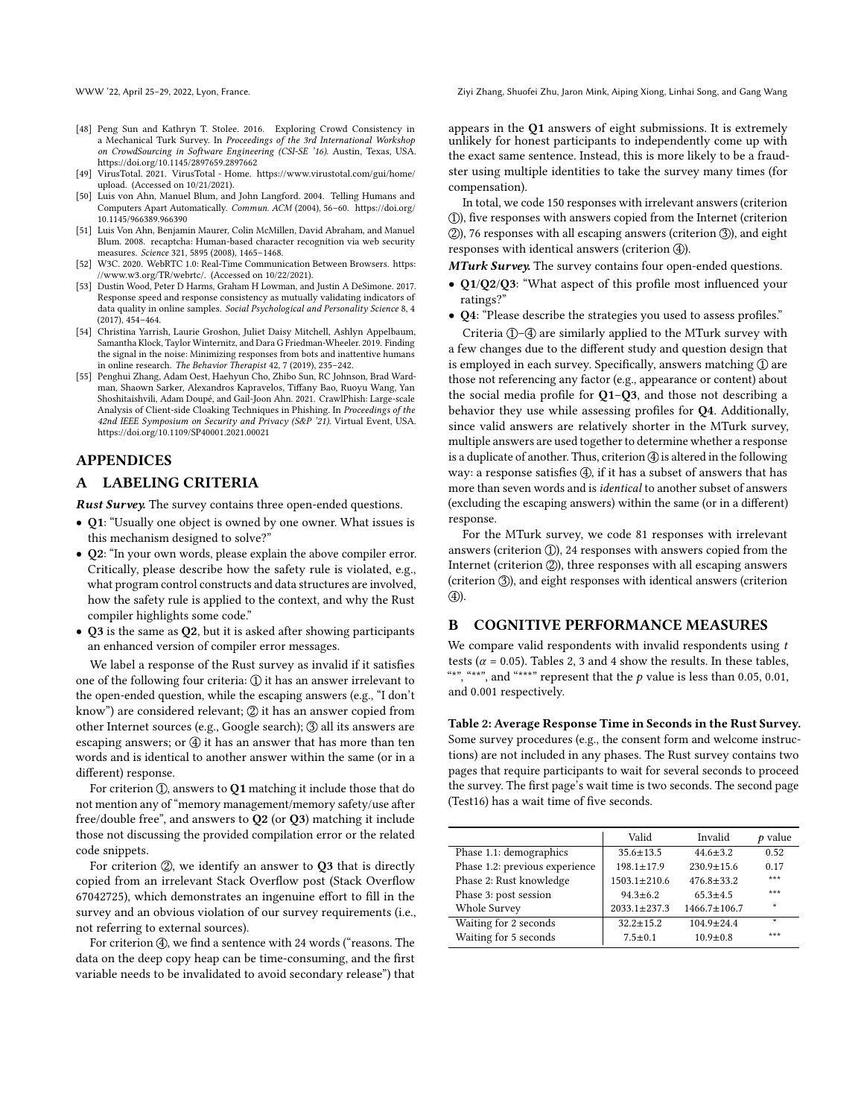- <span id="page-9-3"></span>[48] Peng Sun and Kathryn T. Stolee. 2016. Exploring Crowd Consistency in a Mechanical Turk Survey. In Proceedings of the 3rd International Workshop on CrowdSourcing in Software Engineering (CSI-SE '16). Austin, Texas, USA. <https://doi.org/10.1145/2897659.2897662>
- <span id="page-9-4"></span>[49] VirusTotal. 2021. VirusTotal - Home. [https://www.virustotal.com/gui/home/](https://www.virustotal.com/gui/home/upload) [upload.](https://www.virustotal.com/gui/home/upload) (Accessed on 10/21/2021).
- <span id="page-9-1"></span>[50] Luis von Ahn, Manuel Blum, and John Langford. 2004. Telling Humans and Computers Apart Automatically. Commun. ACM (2004), 56–60. [https://doi.org/](https://doi.org/10.1145/966389.966390) [10.1145/966389.966390](https://doi.org/10.1145/966389.966390)
- <span id="page-9-2"></span>[51] Luis Von Ahn, Benjamin Maurer, Colin McMillen, David Abraham, and Manuel Blum. 2008. recaptcha: Human-based character recognition via web security measures. Science 321, 5895 (2008), 1465–1468.
- <span id="page-9-7"></span>[52] W3C. 2020. WebRTC 1.0: Real-Time Communication Between Browsers. [https:](https://www.w3.org/TR/webrtc/) [//www.w3.org/TR/webrtc/.](https://www.w3.org/TR/webrtc/) (Accessed on 10/22/2021).
- <span id="page-9-6"></span>[53] Dustin Wood, Peter D Harms, Graham H Lowman, and Justin A DeSimone. 2017. Response speed and response consistency as mutually validating indicators of data quality in online samples. Social Psychological and Personality Science 8, 4 (2017), 454–464.
- <span id="page-9-0"></span>[54] Christina Yarrish, Laurie Groshon, Juliet Daisy Mitchell, Ashlyn Appelbaum, Samantha Klock, Taylor Winternitz, and Dara G Friedman-Wheeler. 2019. Finding the signal in the noise: Minimizing responses from bots and inattentive humans in online research. The Behavior Therapist 42, 7 (2019), 235–242.
- <span id="page-9-5"></span>[55] Penghui Zhang, Adam Oest, Haehyun Cho, Zhibo Sun, RC Johnson, Brad Wardman, Shaown Sarker, Alexandros Kapravelos, Tiffany Bao, Ruoyu Wang, Yan Shoshitaishvili, Adam Doupé, and Gail-Joon Ahn. 2021. CrawlPhish: Large-scale Analysis of Client-side Cloaking Techniques in Phishing. In Proceedings of the 42nd IEEE Symposium on Security and Privacy (S&P '21). Virtual Event, USA. <https://doi.org/10.1109/SP40001.2021.00021>

# APPENDICES

# <span id="page-9-8"></span>A LABELING CRITERIA

Rust Survey. The survey contains three open-ended questions.

- Q1: "Usually one object is owned by one owner. What issues is this mechanism designed to solve?"
- Q2: "In your own words, please explain the above compiler error. Critically, please describe how the safety rule is violated, e.g., what program control constructs and data structures are involved, how the safety rule is applied to the context, and why the Rust compiler highlights some code."
- Q3 is the same as Q2, but it is asked after showing participants an enhanced version of compiler error messages.

We label a response of the Rust survey as invalid if it satisfies one of the following four criteria:  $\mathcal{D}$  it has an answer irrelevant to the open-ended question, while the escaping answers (e.g., "I don't know") are considered relevant;  $\mathcal{D}$  it has an answer copied from other Internet sources (e.g., Google search); 3 all its answers are escaping answers; or  $\bigoplus$  it has an answer that has more than ten words and is identical to another answer within the same (or in a different) response.

For criterion  $(1)$ , answers to  $Q1$  matching it include those that do not mention any of "memory management/memory safety/use after free/double free", and answers to Q2 (or Q3) matching it include those not discussing the provided compilation error or the related code snippets.

For criterion  $(2)$ , we identify an answer to  $Q3$  that is directly copied from an irrelevant Stack Overflow post (Stack Overflow 67042725), which demonstrates an ingenuine effort to fill in the survey and an obvious violation of our survey requirements (i.e., not referring to external sources).

For criterion  $(4)$ , we find a sentence with 24 words ("reasons. The data on the deep copy heap can be time-consuming, and the first variable needs to be invalidated to avoid secondary release") that appears in the Q1 answers of eight submissions. It is extremely unlikely for honest participants to independently come up with the exact same sentence. Instead, this is more likely to be a fraudster using multiple identities to take the survey many times (for compensation).

In total, we code 150 responses with irrelevant answers (criterion 1 ), five responses with answers copied from the Internet (criterion  $(2)$ , 76 responses with all escaping answers (criterion  $(3)$ ), and eight responses with identical answers (criterion 4).

MTurk Survey. The survey contains four open-ended questions.

- Q1/Q2/Q3: "What aspect of this profile most influenced your ratings?"
- Q4: "Please describe the strategies you used to assess profiles."

Criteria 1-4 are similarly applied to the MTurk survey with a few changes due to the different study and question design that is employed in each survey. Specifically, answers matching 1 are those not referencing any factor (e.g., appearance or content) about the social media profile for  $Q1-Q3$ , and those not describing a behavior they use while assessing profiles for Q4. Additionally, since valid answers are relatively shorter in the MTurk survey, multiple answers are used together to determine whether a response is a duplicate of another. Thus, criterion  $\bigcircled{4}$  is altered in the following way: a response satisfies  $(4)$ , if it has a subset of answers that has more than seven words and is identical to another subset of answers (excluding the escaping answers) within the same (or in a different) response.

For the MTurk survey, we code 81 responses with irrelevant answers (criterion  $(1)$ ), 24 responses with answers copied from the Internet (criterion  $(2)$ ), three responses with all escaping answers (criterion 3), and eight responses with identical answers (criterion  $\circled{4}$ ).

#### <span id="page-9-10"></span>B COGNITIVE PERFORMANCE MEASURES

We compare valid respondents with invalid respondents using  $t$ tests ( $\alpha$  = 0.05). Tables [2,](#page-9-9) [3](#page-10-3) and [4](#page-10-4) show the results. In these tables, "\*", "\*\*", and "\*\*\*" represent that the  $p$  value is less than 0.05, 0.01, and 0.001 respectively.

<span id="page-9-9"></span>Table 2: Average Response Time in Seconds in the Rust Survey. Some survey procedures (e.g., the consent form and welcome instructions) are not included in any phases. The Rust survey contains two pages that require participants to wait for several seconds to proceed the survey. The first page's wait time is two seconds. The second page (Test16) has a wait time of five seconds.

|                                | Valid              | Invalid            | $p$ value |
|--------------------------------|--------------------|--------------------|-----------|
| Phase 1.1: demographics        | $35.6 + 13.5$      | $44.6 + 3.2$       | 0.52      |
| Phase 1.2: previous experience | $198.1 + 17.9$     | $230.9 + 15.6$     | 0.17      |
| Phase 2: Rust knowledge        | $1503.1 + 210.6$   | $476.8 + 33.2$     | ***       |
| Phase 3: post session          | $94.3 + 6.2$       | $65.3 + 4.5$       | ***       |
| Whole Survey                   | $2033.1 \pm 237.3$ | $1466.7 \pm 106.7$ | ÷         |
| Waiting for 2 seconds          | $32.2 + 15.2$      | $104.9 \pm 24.4$   | ÷         |
| Waiting for 5 seconds          | $7.5 + 0.1$        | $10.9 + 0.8$       | ***       |